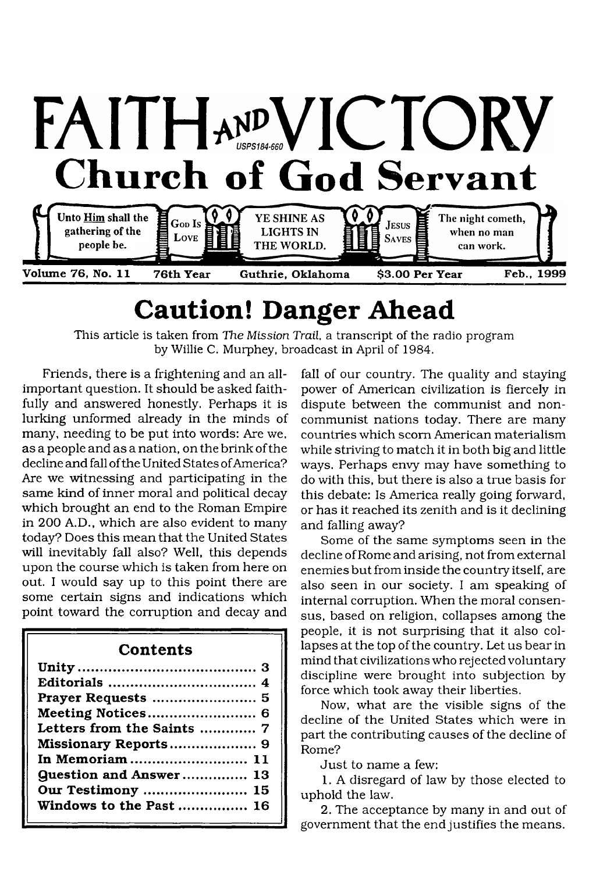

# **Caution! Danger Ahead**

This article is taken from *The Mission Trail,* a transcript of the radio program by Willie C. Murphey, broadcast in April of 1984.

Friends, there is a frightening and an allimportant question. It should be asked faithfully and answered honestly. Perhaps it is lurking unformed already in the minds of many, needing to be put into words: Are we, as a people and as a nation, on the brink of the decline and fall of the United States of America? Are we witnessing and participating in the same kind of inner moral and political decay which brought an end to the Roman Empire in 200 A.D., which are also evident to many today? Does this mean that the United States will inevitably fall also? Well, this depends upon the course which is taken from here on out. I would say up to this point there are some certain signs and indications which point toward the corruption and decay and

# **Contents**

| Letters from the Saints  7    |
|-------------------------------|
| Missionary Reports 9          |
| In Memoriam  11               |
| <b>Question and Answer 13</b> |
| <b>Our Testimony  15</b>      |
| Windows to the Past  16       |
|                               |

fall of our country. The quality and staying power of American civilization is fiercely in dispute between the communist and noncommunist nations today. There are many countries which scorn American materialism while striving to match it in both big and little ways. Perhaps envy may have something to do with this, but there is also a true basis for this debate: Is America really going forward, or has it reached its zenith and is it declining and falling away?

Some of the same symptoms seen in the decline of Rome and arising, not from external enemies but from inside the country itself, are also seen in our society. I am speaking of internal corruption. When the moral consensus, based on religion, collapses among the people, it is not surprising that it also collapses at the top of the country. Let us bear in mind that civilizations who rejected voluntary discipline were brought into subjection by force which took away their liberties.

Now, what are the visible signs of the decline of the United States which were in part the contributing causes of the decline of Rome?

Just to name a few:

1. A disregard of law by those elected to uphold the law.

2. The acceptance by many in and out of government that the end justifies the means.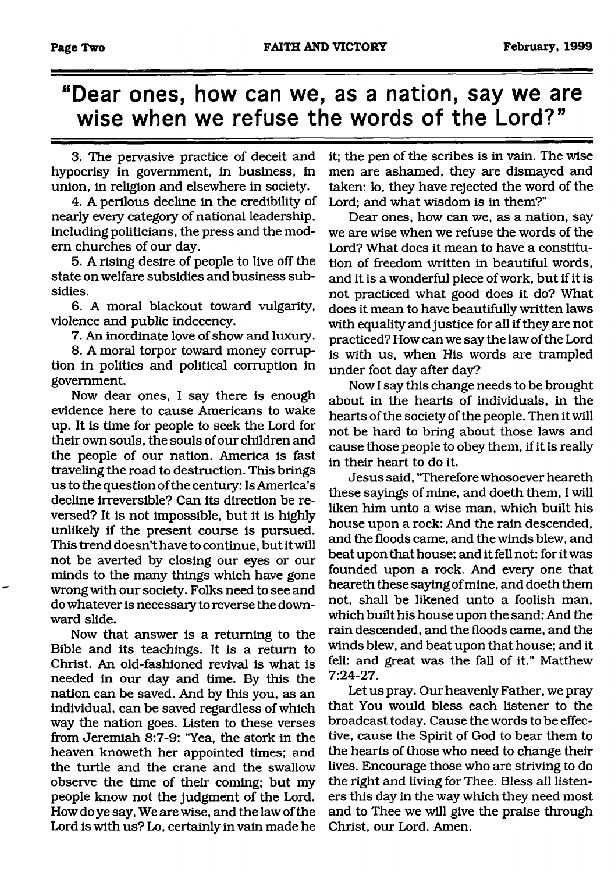# **"Dear ones, how can we, as a nation, say we are wise when we refuse the words of the Lord?"**

3. The pervasive practice of deceit and hypocrisy in government, in business, in union, in religion and elsewhere in society.

4. A perilous decline in the credibility of nearly every category of national leadership, including politicians, the press and the modem churches of our day.

5. A rising desire of people to live off the state on welfare subsidies and business subsidies.

6. A moral blackout toward vulgarity, violence and public indecency.

7. An inordinate love of show and luxury.

8. A moral torpor toward money corruption in politics and political corruption in government.

Now dear ones, I say there is enough evidence here to cause Americans to wake up. It is time for people to seek the Lord for their own souls, the souls of our children and the people of our nation. America is fast traveling the road to destruction. This brings us to the question of the century: Is America's decline irreversible? Can its direction be reversed? It is not impossible, but it is highly unlikely if the present course is pursued. This trend doesn't have to continue, but it will not be averted by closing our eyes or our minds to the many things which have gone wrong with our society. Folks need to see and do whatever is necessary to reverse the downward slide.

Now that answer is a returning to the Bible and its teachings. It is a return to Christ. An old-fashioned revival is what is needed in our day and time. By this the nation can be saved. And by this you, as an individual, can be saved regardless of which way the nation goes. Listen to these verses from Jeremiah 8:7-9: "Yea, the stork in the heaven knoweth her appointed times; and the turtle and the crane and the swallow observe the time of their coming; but my people know not the judgment of the Lord. How do ye say, We are wise, and the law of the Lord is with us? Lo, certainly in vain made he it; the pen of the scribes is in vain. The wise men are ashamed, they are dismayed and taken: lo, they have rejected the word of the Lord; and what wisdom is in them?"

Dear ones, how can we, as a nation, say we are wise when we refuse the words of the Lord? What does it mean to have a constitution of freedom written in beautiful words, and it is a wonderful piece of work, but if it is not practiced what good does it do? What does it mean to have beautifully written laws with equality and justice for all if they are not practiced? How can we say the law of the Lord is with us, when His words are trampled under foot day after day?

Now I say this change needs to be brought about in the hearts of individuals, in the hearts of the society of the people. Then it will not be hard to bring about those laws and cause those people to obey them, if it is really in their heart to do it.

Jesus said, 'Therefore whosoever heareth these sayings of mine, and doeth them, I will liken him unto a wise man, which built his house upon a rock: And the rain descended, and the floods came, and the winds blew, and beat upon that house; and it fell not: for it was founded upon a rock. And every one that heareth these saying of mine, and doeth them not, shall be likened unto a foolish man, which built his house upon the sand: And the rain descended, and the floods came, and the winds blew, and beat upon that house; and it fell: and great was the fall of it." Matthew 7:24-27.

Let us pray. Our heavenly Father, we pray that You would bless each listener to the broadcast today. Cause the words to be effective, cause the Spirit of God to bear them to the hearts of those who need to change their lives. Encourage those who are striving to do the right and living for Thee. Bless all listeners this day in the way which they need most and to Thee we will give the praise through Christ, our Lord. Amen.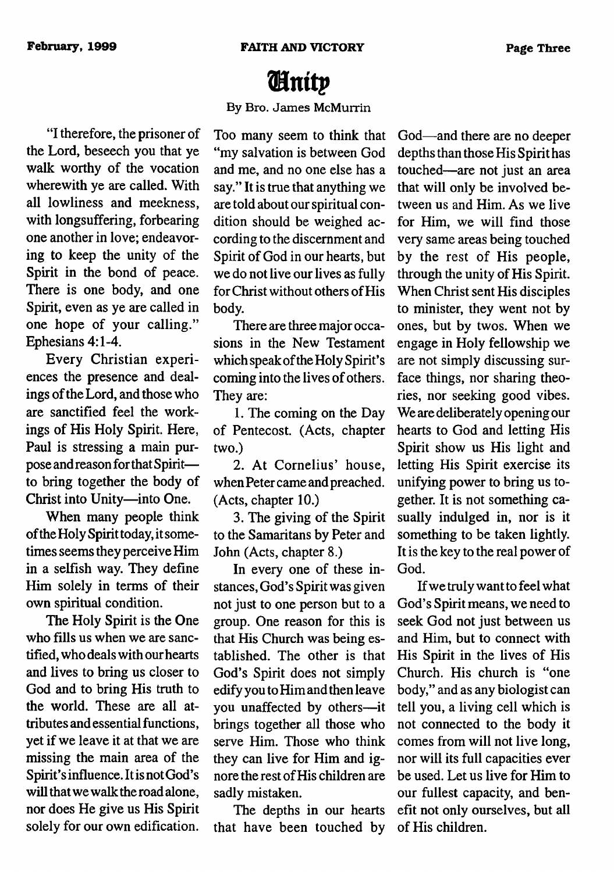# *l&nitp*

## By Bro. James McMurrin

"I therefore, the prisoner of the Lord, beseech you that ye walk worthy of the vocation wherewith ye are called. With all lowliness and meekness, with longsuffering, forbearing one another in love; endeavoring to keep the unity of the Spirit in the bond of peace. There is one body, and one Spirit, even as ye are called in one hope of your calling." Ephesians 4:1-4.

E very Christian experiences the presence and dealings of the Lord, and those who are sanctified feel the workings of His Holy Spirit. Here, Paul is stressing a main purpose and reason for that Spirit to bring together the body of Christ into Unity—into One.

When many people think of the Holy Spirit today, it sometimes seems they perceive Him in a selfish way. They define Him solely in terms of their own spiritual condition.

The Holy Spirit is the One who fills us when we are sanctified, who deals with our hearts and lives to bring us closer to God and to bring His truth to the world. These are all attributes and essential functions, yet if we leave it at that we are missing the main area of the Spirit's influence. It is not God's will that we walk the road alone, nor does He give us His Spirit solely for our own edification.

Too many seem to think that "my salvation is between God and me, and no one else has a say." It is true that anything we are told about our spiritual condition should be weighed according to the discernment and Spirit of God in our hearts, but we do not live our lives as fully for Christ without others of His body.

There are three major occasions in the New Testament which speak of the Holy Spirit's coming into the lives of others. They are:

1. The coming on the Day of Pentecost. (Acts, chapter two.)

2. At Cornelius' house, when Peter came and preached. (Acts, chapter 10.)

3. The giving of the Spirit to the Samaritans by Peter and John (Acts, chapter 8.)

In every one of these instances, God's Spirit was given not just to one person but to a group. One reason for this is that His Church was being established. The other is that God's Spirit does not simply edify you to Him and then leave you unaffected by others—it brings together all those who serve Him. Those who think they can live for Him and ignore the rest of His children are sadly mistaken.

The depths in our hearts that have been touched by

God— and there are no deeper depths than those His Spirit has touched— are not just an area that will only be involved between us and Him. As we live for Him, we will find those very same areas being touched by the rest of His people, through the unity of His Spirit. When Christ sent His disciples to minister, they went not by ones, but by twos. When we engage in Holy fellowship we are not simply discussing surface things, nor sharing theories, nor seeking good vibes. We are deliberately opening our hearts to God and letting His Spirit show us His light and letting His Spirit exercise its unifying power to bring us together. It is not something casually indulged in, nor is it something to be taken lightly. It is the key to the real power of God.

If we truly want to feel what God's Spirit means, we need to seek God not just between us and Him, but to connect with His Spirit in the lives of His Church. His church is "one body," and as any biologist can tell you, a living cell which is not connected to the body it comes from will not live long, nor will its full capacities ever be used. Let us live for Him to our fullest capacity, and benefit not only ourselves, but all of His children.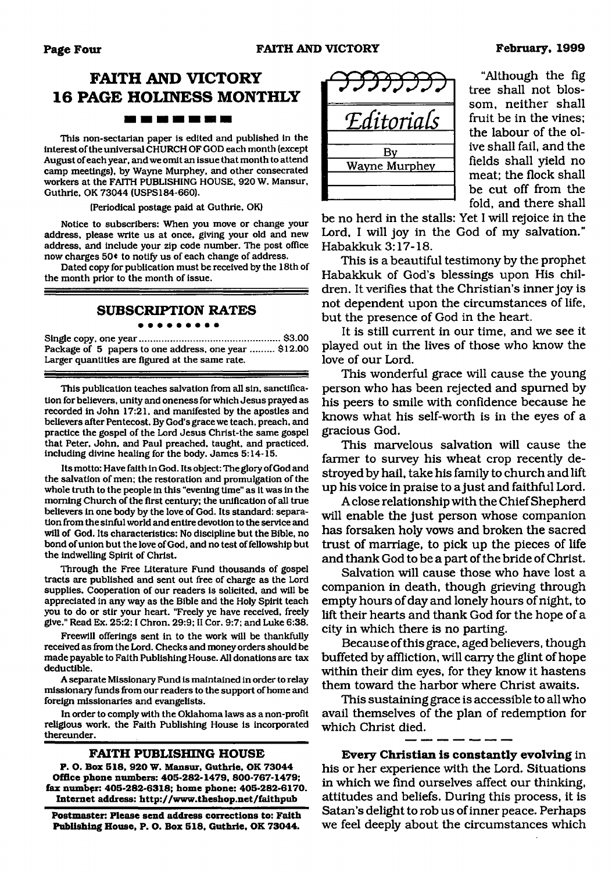# **FAITH AND VICTORY 16 PAGE HOLINESS MONTHLY** 20 M M M M M M M M

This non-sectarian paper is edited and published in the interest of the universal CHURCH OF GOD each month (except August of each year, and we omit an issue that month to attend camp meetings), by Wayne Murphey, and other consecrated workers at the FAITH PUBLISHING HOUSE. 920 W. Mansur, Guthrie. OK 73044 (USPS184-660).

(Periodical postage paid at Guthrie, OK)

Notice to subscribers: When you move or change your address, please write us at once, giving your old and new address, and include your zip code number. The post office now charges 50\* to notify us of each change of address.

Dated copy for publication must be received by the 18th of the month prior to the month of issue.

## **SUBSCRIPTION RATES**

. . . . . . . . .

Single copy, one year..................................................... \$3.00 Package of 5 papers to one address, one year ......... \$12.00 Larger quantities are figured at the same rate.

This publication teaches salvation from all sin, sanctification for believers, unity and oneness for which Jesus prayed as recorded in John 17:21, and manifested by the apostles and believers after Pentecost. By God's grace we teach, preach, and practice the gospel of the Lord Jesus Christ-the same gospel that Peter, John, and Paul preached, taught, and practiced, including divine healing for the body. James 5:14-15.

Its motto: Have faith in God. Its object: The glory of God and the salvation of men; the restoration and promulgation of the whole truth to the people in this "evening time" as it was in the morning Church of the first century; the unification of all true believers in one body by the love of God. Its standard: separation from the sinful world and entire devotion to the service and will of God. Its characteristics: No discipline but the Bible, no bond of union but the love of God, and no test of fellowship but the indwelling Spirit of Christ.

Through the Free Literature Fund thousands of gospel tracts are published and sent out free of charge as the Lord supplies. Cooperation of our readers is solicited, and will be appreciated in any way as the Bible and the Holy Spirit teach you to do or stir your heart. "Freely ye have received, freely give." Read Ex. 25:2:1 Chron. 29:9; II Cor. 9:7; and Luke 6:38.

Freewill offerings sent in to the work will be thankfully received as from the Lord. Checks and money orders should be made payable to Faith Publishing House. All donations are tax deductible.

A separate Missionary Fund is maintained in order to relay missionary funds from our readers to the support of home and foreign missionaries and evangelists.

In order to comply with the Oklahoma laws as a non-profit religious work, the Faith Publishing House is incorporated thereunder.

#### **FAITH PUBLISHING HOUSE**

<span id="page-3-0"></span>**P. O. Box 518, 920 W. Mansur, Guthrie, OK 73044 Office phone numbers: 405-282-1479, 800-767-1479; fax number: 405-282-6318; home phone: 405-282-6170. Internet address: <http://www.theshop.net/falthpub>**

**Postmaster: Please send address corrections to: Faith Publishing House, P. O. Box 518, Guthrie, OK 73044.**



"Although the fig tree shall not blossom, neither shall fruit be in the vines; the labour of the olive shall fail, and the fields shall yield no meat; the flock shall be cut off from the fold, and there shall

be no herd in the stalls: Yet I will rejoice in the Lord, I will joy in the God of my salvation." Habakkuk 3:17-18.

This is a beautiful testimony by the prophet Habakkuk of God's blessings upon His children. It verifies that the Christian's inner joy is not dependent upon the circumstances of life, but the presence of God in the heart.

It is still current in our time, and we see it played out in the lives of those who know the love of our Lord.

This wonderful grace will cause the young person who has been rejected and spumed by his peers to smile with confidence because he knows what his self-worth is in the eyes of a gracious God.

This marvelous salvation will cause the farmer to survey his wheat crop recently destroyed by hail, take his family to church and lift up his voice in praise to a just and faithful Lord.

A close relationship with the Chief Shepherd will enable the just person whose companion has forsaken holy vows and broken the sacred trust of marriage, to pick up the pieces of life and thank God to be a part of the bride of Christ.

Salvation will cause those who have lost a companion in death, though grieving through empty hours of day and lonely hours of night, to lift their hearts and thank God for the hope of a city in which there is no parting.

Because of this grace, aged believers, though buffeted by affliction, will carry the glint of hope within their dim eyes, for they know it hastens them toward the harbor where Christ awaits.

This sustaining grace is accessible to all who avail themselves of the plan of redemption for which Christ died.

**Every Christian is constantly evolving** in his or her experience with the Lord. Situations in which we find ourselves affect our thinking, attitudes and beliefs. During this process, it is Satan's delight to rob us of inner peace. Perhaps we feel deeply about the circumstances which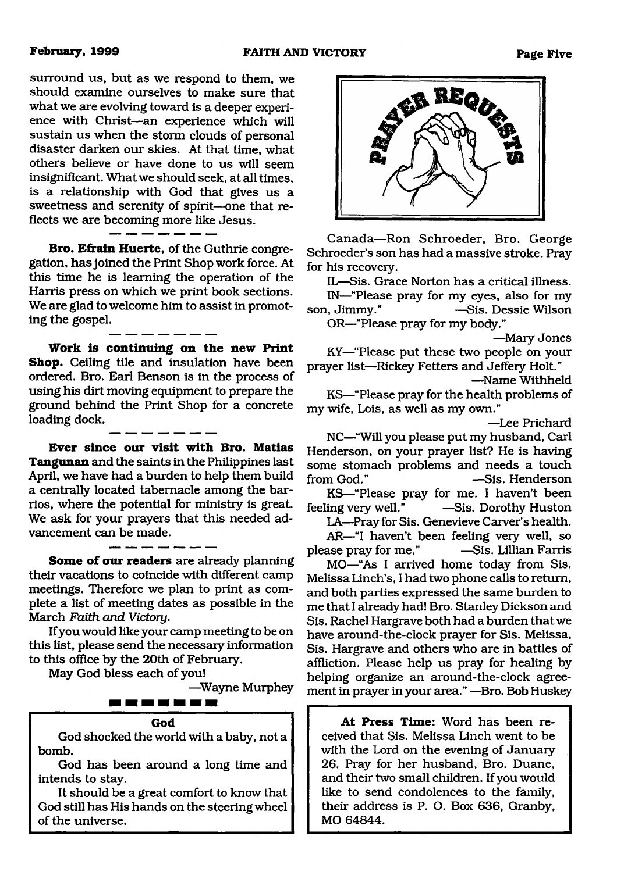surround us, but as we respond to them, we should examine ourselves to make sure that what we are evolving toward is a deeper experience with Christ—an experience which will sustain us when the storm clouds of personal disaster darken our skies. At that time, what others believe or have done to us will seem insignificant. What we should seek, at all times, is a relationship with God that gives us a sweetness and serenity of spirit—one that reflects we are becoming more like Jesus.

**Bro. Efrain Huerte,** of the Guthrie congregation, has joined the Print Shop work force. At this time he is learning the operation of the Harris press on which we print book sections. We are glad to welcome him to assist in promoting the gospel.

**Work is continuing on the new Print Shop.** Ceiling tile and insulation have been ordered. Bro. Earl Benson is in the process of using his dirt moving equipment to prepare the ground behind the Print Shop for a concrete loading dock.

**Ever since our visit with Bro. Matias Tangunan** and the saints in the Philippines last April, we have had a burden to help them build a centrally located tabernacle among the barrios, where the potential for ministry is great. We ask for your prayers that this needed advancement can be made.

**Some of our readers** are already planning their vacations to coincide with different camp meetings. Therefore we plan to print as complete a list of meeting dates as possible in the March *Faith and Victory.*

If you would like your camp meeting to be on this list, please send the necessary information to this office by the 20th of February.

May God bless each of you!

—Wayne Murphey



▗▗▖▅▗▅▗▅▗

God shocked the world with a baby, not a bomb.

God has been around a long time and intends to stay.

It should be a great comfort to know that God still has His hands on the steering wheel of the universe.



Canada—Ron Schroeder, Bro. George Schroeder's son has had a massive stroke. Pray for his recovery.

IL—Sis. Grace Norton has a critical illness.

IN—"Please pray for my eyes, also for my son, Jimmy." —Sis. Dessie Wilson OR—"Please pray for my body."

—Mary Jones

KY—"Please put these two people on your prayer list—Rickey Fetters and Jeffery Holt."

—Name Withheld

KS—"Please pray for the health problems of my wife, Lois, as well as my own."

—Lee Prichard

NC—"Will you please put my husband, Carl Henderson, on your prayer list? He is having some stomach problems and needs a touch from God." —Sis. Henderson

KS—"Please pray for me. I haven't been feeling very well." —Sis. Dorothy Huston

LA—Pray for Sis. Genevieve Carver's health. AR—"I haven't been feeling very well, so please pray for me." —Sis. Lillian Farris

MO—"As I arrived home today from Sis. Melissa Linch's, I had two phone calls to return, and both parties expressed the same burden to me that I already had! Bro. Stanley Dickson and Sis. Rachel Hargrave both had a burden that we have around-the-clock prayer for Sis. Melissa, Sis. Hargrave and others who are in battles of affliction. Please help us pray for healing by helping organize an around-the-clock agreement in prayer in your area." —Bro. Bob Huskey

**At Press Time:** Word has been received that Sis. Melissa Linch went to be with the Lord on the evening of January 26. Pray for her husband, Bro. Duane, and their two small children. If you would like to send condolences to the family, their address is P. O. Box 636, Granby, MO 64844.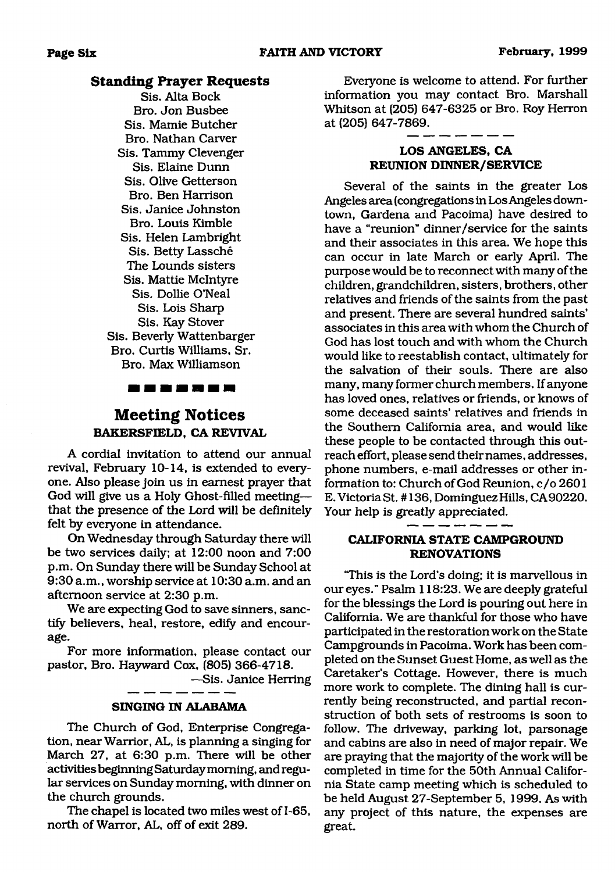# **Standing Prayer Requests**

Sis. Alta Bock Bro. Jon Busbee Sis. Mamie Butcher Bro. Nathan Carver Sis. Tammy Clevenger Sis. Elaine Dunn Sis. Olive Getterson Bro. Ben Harrison Sis. Janice Johnston Bro. Louis Kimble Sis. Helen Lambright Sis. Betty Lassche The Lounds sisters Sis. Mattie McIntyre Sis. Dollie O'Neal Sis. Lois Sharp Sis. Kay Stover Sis. Beverly Wattenbarger Bro. Curtis Williams, Sr. Bro. Max Williamson



# **Meeting Notices BAKERSFIELD, CA REVIVAL**

A cordial invitation to attend our annual revival, February 10-14, is extended to everyone. Also please join us in earnest prayer that God will give us a Holy Ghost-filled meeting that the presence of the Lord will be definitely felt by everyone in attendance.

On Wednesday through Saturday there will be two services daily; at 12:00 noon and 7:00 p.m. On Sunday there will be Sunday School at 9:30 a.m., worship service at 10:30 a.m. and an afternoon service at 2:30 p.m.

We are expecting God to save sinners, sanctify believers, heal, restore, edify and encourage.

For more information, please contact our pastor, Bro. Hayward Cox, (805) 366-4718.

—Sis. Janice Herring



The Church of God, Enterprise Congregation, near Warrior, AL, is planning a singing for March 27, at 6:30 p.m. There will be other activities beginning Saturday morning, and regular services on Sunday morning, with dinner on the church grounds.

The chapel is located two miles west of 1-65, north of Warror, AL, off of exit 289.

Everyone is welcome to attend. For further information you may contact Bro. Marshall Whitson at (205) 647-6325 or Bro. Roy Herron at (205) 647-7869.

# **LOS ANGELES, CA REUNION DINNER/SERVICE**

Several of the saints in the greater Los Angeles area (congregations in Los Angeles downtown, Gardena and Pacoima) have desired to have a "reunion" dinner/service for the saints and their associates in this area. We hope this can occur in late March or early April. The purpose would be to reconnect with many of the children, grandchildren, sisters, brothers, other relatives and friends of the saints from the past and present. There are several hundred saints' associates in this area with whom the Church of God has lost touch and with whom the Church would like to reestablish contact, ultimately for the salvation of their souls. There are also many, many former church members. If anyone has loved ones, relatives or friends, or knows of some deceased saints' relatives and friends in the Southern California area, and would like these people to be contacted through this outreach effort, please send their names, addresses, phone numbers, e-mail addresses or other information to: Church of God Reunion, c/o 2601 E. Victoria St. # 136, Dominguez Hills, CA90220. Your help is greatly appreciated.

### **CALIFORNIA STATE CAMPGROUND RENOVATIONS**

"This is the Lord's doing; it is marvellous in our eyes." Psalm 118:23. We are deeply grateful for the blessings the Lord is pouring out here in California. We are thankful for those who have participated in the restoration work on the State Campgrounds in Pacoima. Work has been completed on the Sunset Guest Home, as well as the Caretaker's Cottage. However, there is much more work to complete. The dining hall is currently being reconstructed, and partial reconstruction of both sets of restrooms is soon to follow. The driveway, parking lot, parsonage and cabins are also in need of major repair. We are praying that the majority of the work will be completed in time for the 50th Annual California State camp meeting which is scheduled to be held August 27-September 5, 1999. As with any project of this nature, the expenses are great.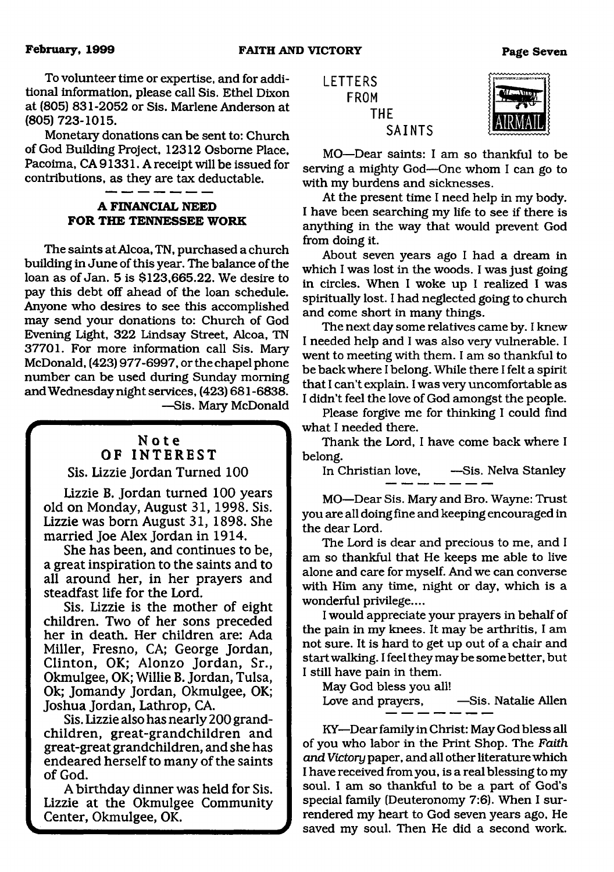To volunteer time or expertise, and for additional information, please call Sis. Ethel Dixon at (805) 831-2052 or Sis. Marlene Anderson at (805) 723-1015.

Monetary donations can be sent to: Church of God Building Project, 12312 Osborne Place, Pacoima, CA 91331. A receipt will be issued for contributions, as they are tax deductable.

# **A FINANCIAL NEED FOR THE TENNESSEE WORK**

 $\overline{\phantom{a}}$  and  $\overline{\phantom{a}}$  and  $\overline{\phantom{a}}$  and  $\overline{\phantom{a}}$ 

The saints at Alcoa, TN, purchased a church building in June of this year. The balance of the loan as of Jan. 5 is \$123,665.22. We desire to pay this debt off ahead of the loan schedule. Anyone who desires to see this accomplished may send your donations to: Church of God Evening Light, 322 Lindsay Street, Alcoa, TN 37701. For more information call Sis. Mary McDonald, (423) 977-6997, or the chapel phone number can be used during Sunday morning and Wednesday night services, (423) 681-6838. —Sis. Mary McDonald

## " ,,M" \ Note OF INTEREST Sis. Lizzie Jordan Turned 100

Lizzie B. Jordan turned 100 years old on Monday, August 31, 1998. Sis.

Lizzie was born August 31, 1898. She married Joe Alex Jordan in 1914. She has been, and continues to be, a great inspiration to the saints and to

all around her, in her prayers and steadfast life for the Lord. Sis. Lizzie is the mother of eight

children. Two of her sons preceded her in death. Her children are: Ada Miller, Fresno, CA; George Jordan, Clinton, OK; Alonzo Jordan, Sr., Okmulgee, OK; Willie B. Jordan, Tulsa, Ok; Jomandy Jordan, Okmulgee, OK; Joshua Jordan, Lathrop, CA.

Sis. Lizzie also has nearly 200 grandchildren, great-grandchildren and great-great grandchildren, and she has endeared herself to many of the saints of God.

A birthday dinner was held for Sis. Lizzie at the Okmulgee Community Center, Okmulgee, OK.





MO—Dear saints: I am so thankful to be serving a mighty God—One whom I can go to with my burdens and sicknesses.

At the present time I need help in my body. I have been searching my life to see if there is anything in the way that would prevent God from doing it.

About seven years ago I had a dream in which I was lost in the woods. I was just going in circles. When I woke up I realized I was spiritually lost. I had neglected going to church and come short in many things.

The next day some relatives came by. I knew I needed help and I was also very vulnerable. I went to meeting with them. I am so thankful to be back where I belong. While there I felt a spirit that I can't explain. I was very uncomfortable as I didn't feel the love of God amongst the people.

Please forgive me for thinking I could find what I needed there.

Thank the Lord, I have come back where I belong.

In Christian love, —Sis. Nelva Stanley

MO—Dear Sis. Mary and Bro. Wayne: Trust you are all doing fine and keeping encouraged in the dear Lord.

The Lord is dear and precious to me, and I am so thankful that He keeps me able to live alone and care for myself. And we can converse with Him any time, night or day, which is a wonderful privilege....

I would appreciate your prayers in behalf of the pain in my knees. It may be arthritis, I am not sure. It is hard to get up out of a chair and start walking. I feel they may be some better, but I still have pain in them.

May God bless you all!

Love and prayers,  $-$ Sis. Natalie Allen

KY—Dear family in Christ: May God bless all of you who labor in the Print Shop. The *Faith arid Victory* paper, and all other literature which I have received from you, is a real blessing to my soul. I am so thankful to be a part of God's special family (Deuteronomy 7:6). When I surrendered my heart to God seven years ago. He saved my soul. Then He did a second work.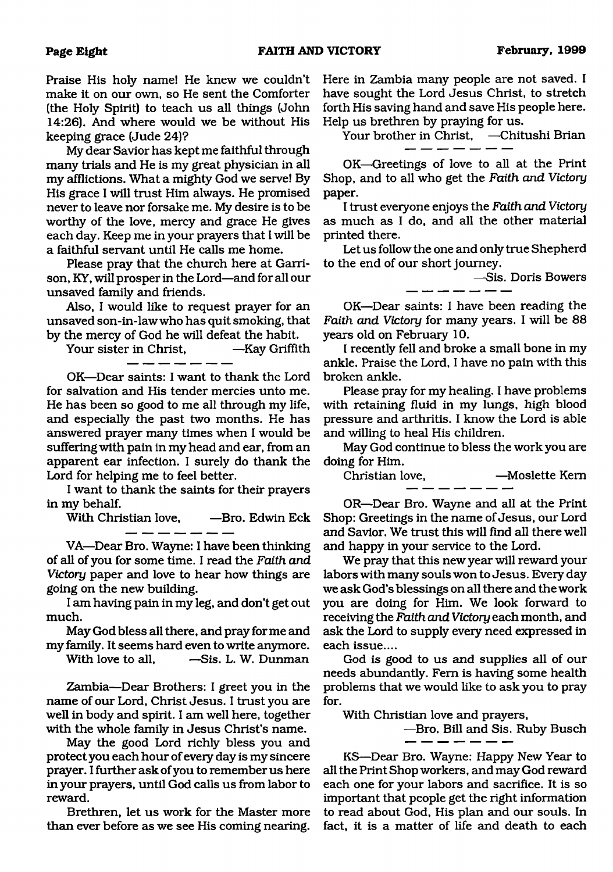Praise His holy name! He knew we couldn't make it on our own, so He sent the Comforter (the Holy Spirit) to teach us all things (John 14:26). And where would we be without His keeping grace (Jude 24)?

My dear Savior has kept me faithful through many trials and He is my great physician in all my afflictions. What a mighty God we serve! By His grace I will trust Him always. He promised never to leave nor forsake me. My desire is to be worthy of the love, mercy and grace He gives each day. Keep me in your prayers that I will be a faithful servant until He calls me home.

Please pray that the church here at Garrison, KY, will prosper in the Lord—and for all our unsaved family and friends.

Also, I would like to request prayer for an unsaved son-in-law who has quit smoking, that

by the mercy of God he will defeat the habit.<br>Your sister in Christ, ——Kay Griffith Your sister in Christ.

OK—Dear saints: I want to thank the Lord for salvation and His tender mercies unto me. He has been so good to me all through my life, and especially the past two months. He has answered prayer many times when I would be suffering with pain in my head and ear, from an apparent ear infection. I surely do thank the Lord for helping me to feel better.

I want to thank the saints for their prayers in my behalf.

With Christian love, —Bro. Edwin Eck  $\overline{\phantom{a}}$   $\overline{\phantom{a}}$   $\overline{\phantom{a}}$   $\overline{\phantom{a}}$   $\overline{\phantom{a}}$ 

VA—Dear Bro. Wayne: I have been thinking of all of you for some time. I read the *Faith and Victory* paper and love to hear how things are going on the new building.

I am having pain in my leg, and don't get out much.

May God bless all there, and pray forme and my family. It seems hard even to write anymore.<br>With love to all. - -Sis. L. W. Dunman

—Sis. L. W. Dunman

Zambia—Dear Brothers: I greet you in the name of our Lord, Christ Jesus. I trust you are well in body and spirit. I am well here, together with the whole family in Jesus Christ's name.

May the good Lord richly bless you and protect you each hour of every day is my sincere prayer. I further ask of you to remember us here in your prayers, until God calls us from labor to reward.

Brethren, let us work for the Master more than ever before as we see His coming nearing.

Here in Zambia many people are not saved. I have sought the Lord Jesus Christ, to stretch forth His saving hand and save His people here. Help us brethren by praying for us.

Your brother in Christ, —Chitushi Brian

OK—Greetings of love to all at the Print Shop, and to sill who get the *Faith and Victory* paper.

I trust everyone enjoys the *Faith and Victory* as much as I do, and all the other material printed there.

Let us follow the one and only true Shepherd to the end of our short journey.

—Sis. Doris Bowers

OK—Dear saints: I have been reading the *Faith and Victory* for many years. I will be 88 years old on February 10.

I recently fell and broke a small bone in my ankle. Praise the Lord, I have no pain with this broken ankle.

Please pray for my healing. I have problems with retaining fluid in my lungs, high blood pressure and arthritis. I know the Lord is able and willing to heal His children.

May God continue to bless the work you are doing for Him.

Christian love, —Moslette Kern

OR—Dear Bro. Wayne and all at the Print Shop: Greetings in the name of Jesus, our Lord and Savior. We trust this will find all there well and happy in your service to the Lord.

We pray that this new year will reward your labors with many souls won to Jesus. Every day we ask God's blessings on all there and the work you are doing for Him. We look forward to receiving the *Faith and Victory* each month, and ask the Lord to supply every need expressed in each issue....

God is good to us and supplies all of our needs abundantly. Fern is having some health problems that we would like to ask you to pray for.

With Christian love and prayers,

\_ \_ \_ \_ *\_* 

—Bro. Bill and Sis. Ruby Busch

KS—Dear Bro. Wayne: Happy New Year to all the Print Shop workers, and may God reward each one for your labors and sacrifice. It is so important that people get the right information to read about God, His plan and our souls. In fact, it is a matter of life and death to each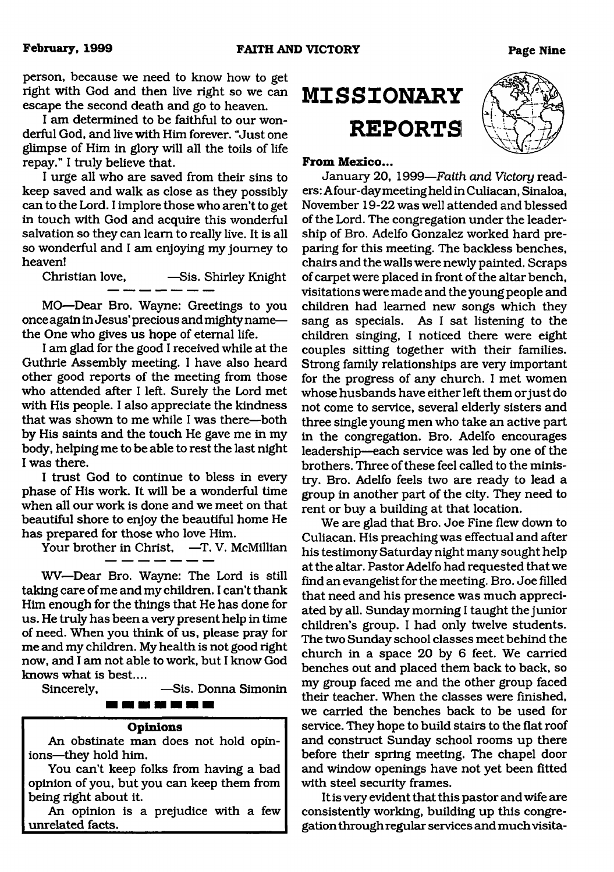person, because we need to know how to get right with God and then live right so we can escape the second death and go to heaven.

I am determined to be faithful to our wonderful God, and live with Him forever. "Just one glimpse of Him in glory will all the toils of life repay." I truly believe that.

I urge all who are saved from their sins to keep saved and walk as close as they possibly can to the Lord. I implore those who aren't to get in touch with God and acquire this wonderful salvation so they can learn to really live. It is all so wonderful and I am enjoying my journey to heaven!

Christian love, -Sis. Shirley Knight

MO—Dear Bro. Wayne: Greetings to you once again in Jesus' precious and mighty name the One who gives us hope of eternal life.

I am glad for the good I received while at the Guthrie Assembly meeting. I have also heard other good reports of the meeting from those who attended after I left. Surely the Lord met with His people. I also appreciate the kindness that was shown to me while I was there—both by His saints and the touch He gave me in my body, helping me to be able to rest the last night I was there.

I trust God to continue to bless in every phase of His work. It will be a wonderful time when all our work is done and we meet on that beautiful shore to enjoy the beautiful home He has prepared for those who love Him.

Your brother in Christ, -T. V. McMillian

WV—Dear Bro. Wayne: The Lord is still taking care of me and my children. I can't thank Him enough for the things that He has done for us. He truly has been a very present help in time of need. When you think of us, please pray for me and my children. My health is not good right now, and I am not able to work, but I know God knows what is best....

Sincerely, —Sis. Donna Simonin

## **THE RINE WAS SUR THE SIX WAS**

#### **Opinions**

An obstinate man does not hold opinions—they hold him.

You can't keep folks from having a bad opinion of you, but you can keep them from being right about it.

An opinion is a prejudice with a few unrelated facts.

# **M ISSIONARY REPORTS**

#### **From Mexico...**

January 20, 1999*—Faith and Victory* readers: Afour-day meeting held in Culiacan, Sinaloa, November 19-22 was well attended and blessed of the Lord. The congregation under the leadership of Bro. Adelfo Gonzalez worked hard preparing for this meeting. The backless benches, chairs and the walls were newly painted. Scraps of carpet were placed in front of the altar bench, visitations were made and the young people and children had learned new songs which they sang as specials. As I sat listening to the children singing, I noticed there were eight couples sitting together with their families. Strong family relationships are very important for the progress of any church. I met women whose husbands have either left them or just do not come to service, several elderly sisters and three single young men who take an active part in the congregation. Bro. Adelfo encourages leadership—each service was led by one of the brothers. Three of these feel called to the ministry. Bro. Adelfo feels two are ready to lead a group in another part of the city. They need to rent or buy a building at that location.

We are glad that Bro. Joe Fine flew down to Culiacan. His preaching was effectual and sifter his testimony Saturday night many sought help at the altar. Pastor Adelfo had requested that we find an evangelist for the meeting. Bro. Joe filled that need and his presence was much appreciated by all. Sunday morning I taught the junior children's group. I had only twelve students. The two Sunday school classes meet behind the church in a space 20 by 6 feet. We carried benches out and placed them back to back, so my group faced me and the other group faced their teacher. When the classes were finished, we carried the benches back to be used for service. They hope to build stairs to the flat roof and construct Sunday school rooms up there before their spring meeting. The chapel door and window openings have not yet been fitted with steel security frames.

It is very evident that this pastor and wife are consistently working, building up this congregation through regular services and much visita

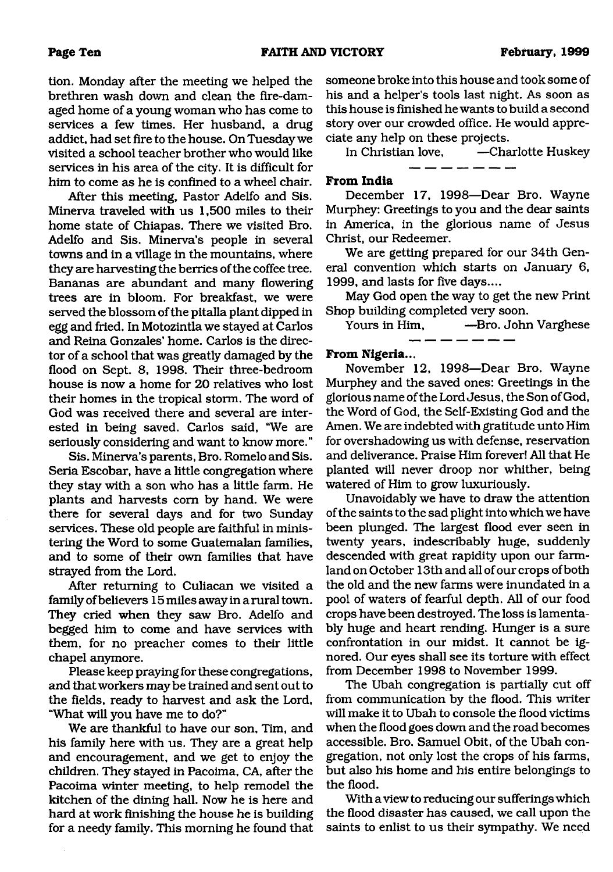tion. Monday after the meeting we helped the brethren wash down and clean the fire-damaged home of a young woman who has come to services a few times. Her husband, a drug addict, had set fire to the house. On Tuesday we visited a school teacher brother who would like services in his area of the city. It is difficult for him to come as he is confined to a wheel chair.

After this meeting, Pastor Adelfo and Sis. Minerva traveled with us 1,500 miles to their home state of Chiapas. There we visited Bro. Adelfo and Sis. Minerva's people in several towns and in a village in the mountains, where they are harvesting the berries of the coffee tree. Bananas are abundant and many flowering trees are in bloom. For breakfast, we were served the blossom of the pitalla plant dipped in egg and fried. In Motozintla we stayed at Carlos and Reina Gonzales' home. Carlos is the director of a school that was greatly damaged by the flood on Sept. 8, 1998. Their three-bedroom house is now a home for 20 relatives who lost their homes in the tropical storm. The word of God was received there and several are interested in being saved. Carlos said, "We are seriously considering and want to know more."

Sis. Minerva's parents, Bro. Romelo and Sis. Seria Escobar, have a little congregation where they stay with a son who has a little farm. He plants and harvests com by hand. We were there for several days and for two Sunday services. These old people are faithful in ministering the Word to some Guatemalan families, and to some of their own families that have strayed from the Lord.

After returning to Culiacan we visited a family of believers 15 miles away in a rural town. They cried when they saw Bro. Adelfo and begged him to come and have services with them, for no preacher comes to their little chapel anymore.

Please keep praying for these congregations, and that workers maybe trained and sent out to the fields, ready to harvest and ask the Lord, "What will you have me to do?"

We are thankful to have our son, Tim, and his family here with us. They are a great help and encouragement, and we get to enjoy the children. They stayed in Pacoima, CA, after the Pacoima winter meeting, to help remodel the kitchen of the dining hall. Now he is here and hard at work finishing the house he is building for a needy family. This morning he found that someone broke into this house and took some of his and a helper's tools last night. As soon as this house is finished he wants to build a second story over our crowded office. He would appreciate any help on these projects.

In Christian love, —Charlotte Huskey \_ \_ \_ \_ \_ \_ \_

### **From India**

December 17, 1998—Dear Bro. Wayne Murphey: Greetings to you and the dear saints in America, in the glorious name of Jesus Christ, our Redeemer.

We are getting prepared for our 34th General convention which starts on January 6, 1999, and lasts for five days....

May God open the way to get the new Print Shop building completed very soon.

Yours in Him, —Bro. John Varghese

#### **From Nigeria...**

November 12, 1998—Dear Bro. Wayne Murphey and the saved ones: Greetings in the glorious name of the Lord Jesus, the Son of God, the Word of God, the Self-Existing God and the Amen. We are indebted with gratitude unto Him for overshadowing us with defense, reservation and deliverance. Praise Him forever! All that He planted will never droop nor whither, being watered of Him to grow luxuriously.

Unavoidably we have to draw the attention of the saints to the sad plight into which we have been plunged. The largest flood ever seen in twenty years, indescribably huge, suddenly descended with great rapidity upon our farmland on October 13th and all of our crops of both the old and the new farms were inundated in a pool of waters of fearful depth. All of our food crops have been destroyed. The loss is lamentably huge and heart rending. Hunger is a sure confrontation in our midst. It cannot be ignored. Our eyes shall see its torture with effect from December 1998 to November 1999.

The Ubah congregation is partially cut off from communication by the flood. This writer will make it to Ubah to console the flood victims when the flood goes down and the road becomes accessible. Bro. Samuel Obit, of the Ubah congregation, not only lost the crops of his farms, but also his home and his entire belongings to the flood.

With a view to reducing our sufferings which the flood disaster has caused, we call upon the saints to enlist to us their sympathy. We need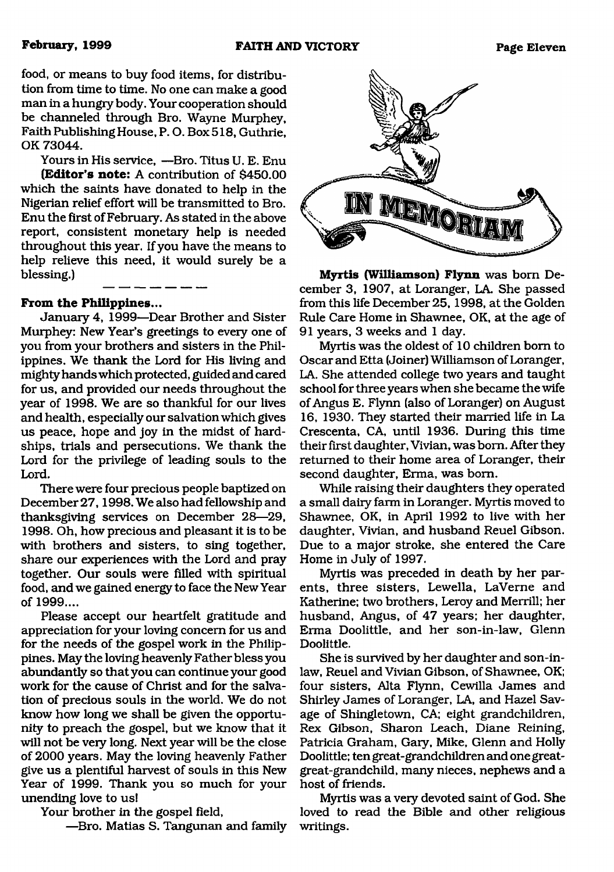food, or means to buy food items, for distribution from time to time. No one can make a good man in a hungry body. Your cooperation should be channeled through Bro. Wayne Murphey, Faith Publishing House, P. O. Box 518, Guthrie, OK 73044.

Yours in His service, —Bro. Titus U. E. Enu **(Editor's note:** A contribution of \$450.00 which the saints have donated to help in the Nigerian relief effort will be transmitted to Bro. Enu the first of February. As stated in the above report, consistent monetary help is needed throughout this year. If you have the means to help relieve this need, it would surely be a blessing.)

## **From the Philippines...**

January 4, 1999—Dear Brother and Sister Murphey: New Year's greetings to every one of you from your brothers and sisters in the Philippines. We thank the Lord for His living and mighty hands which protected, guided and cared for us, and provided our needs throughout the year of 1998. We are so thankful for our lives and health, especially our salvation which gives us peace, hope and joy in the midst of hardships, trials and persecutions. We thank the Lord for the privilege of leading souls to the Lord.

There were four precious people baptized on December 27,1998. We also had fellowship and thanksgiving services on December 28—29, 1998. Oh, how precious and pleasant it is to be with brothers and sisters, to sing together, share our experiences with the Lord and pray together. Our souls were filled with spiritual food, and we gained energy to face the New Year of 1999....

Please accept our heartfelt gratitude and appreciation for your loving concern for us and for the needs of the gospel work in the Philippines. May the loving heavenly Father bless you abundantly so that you can continue your good work for the cause of Christ and for the salvation of precious souls in the world. We do not know how long we shall be given the opportunity to preach the gospel, but we know that it will not be very long. Next year will be the close of 2000 years. May the loving heavenly Father give us a plentiful harvest of souls in this New Year of 1999. Thank you so much for your unending love to us!

Your brother in the gospel field,

—Bro. Matias S. Tangunan and family



**Myrtis (Williamson) Flynn** was bom December 3, 1907, at Loranger, LA. She passed from this life December 25, 1998, at the Golden Rule Care Home in Shawnee, OK, at the age of 91 years, 3 weeks and 1 day.

Myrtis was the oldest of 10 children bom to Oscar and Etta (Joiner) Williamson of Loranger, LA. She attended college two years and taught school for three years when she became the wife of Angus E. Flynn (also of Loranger) on August 16, 1930. They started their married life in La Crescenta, CA, until 1936. During this time their first daughter, Vivian, was bom. After they returned to their home area of Loranger, their second daughter, Erma, was bom.

While raising their daughters they operated a small dairy farm in Loranger. Myrtis moved to Shawnee, OK, in April 1992 to live with her daughter, Vivian, and husband Reuel Gibson. Due to a major stroke, she entered the Care Home in July of 1997.

Myrtis was preceded in death by her parents, three sisters, Lewella, LaVeme and Katherine; two brothers, Leroy and Merrill; her husband, Angus, of 47 years; her daughter, Erma Doolittle, and her son-in-law, Glenn Doolittle.

She is survived by her daughter and son-inlaw, Reuel and Vivian Gibson, of Shawnee, OK; four sisters, Alta Flynn, Cewilla James and Shirley James of Loranger, LA, and Hazel Savage of Shingletown, CA; eight grandchildren, Rex Gibson, Sharon Leach, Diane Reining, Patricia Graham, Gary, Mike, Glenn and Holly Doolittle; ten great-grandchildren and one greatgreat-grandchild, many nieces, nephews and a host of friends.

Myrtis was a very devoted saint of God. She loved to read the Bible and other religious writings.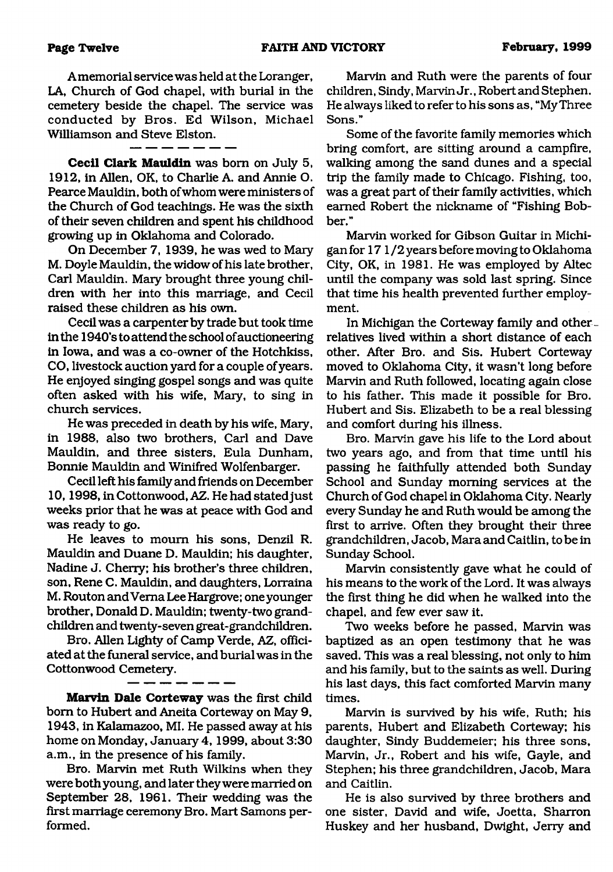A memorial service was held at the Loranger, LA, Church of God chapel, with burial in the cemetery beside the chapel. The service was conducted by Bros. Ed Wilson, Michael Williamson and Steve Elston.

**Cecil Clark Mauldin** was bom on July 5, 1912, in Allen, OK, to Charlie A. and Annie O. Pearce Mauldin, both of whom were ministers of the Church of God teachings. He was the sixth of their seven children and spent his childhood growing up in Oklahoma and Colorado.

On December 7, 1939, he was wed to Mary M. Doyle Mauldin, the widow of his late brother, Carl Mauldin. Mary brought three young children with her into this marriage, and Cecil raised these children as his own.

Cecil was a carpenter by trade but took time in the 1940's to attend the school of auctioneering in Iowa, and was a co-owner of the Hotchkiss, CO, livestock auction yard for a couple of years. He enjoyed singing gospel songs and was quite often asked with his wife, Mary, to sing in church services.

He was preceded in death by his wife, Mary, in 1988, also two brothers, Carl and Dave Mauldin, and three sisters, Eula Dunham, Bonnie Mauldin and Winifred Wolfenbarger.

Cecil left his family and friends on December 10,1998, in Cottonwood, AZ. He had statedjust weeks prior that he was at peace with God and was ready to go.

He leaves to mourn his sons, Denzil R. Mauldin and Duane D. Mauldin; his daughter, Nadine J. Cherry; his brother's three children, son, Rene C. Mauldin, and daughters, Lorraina M. Routon and Vema Lee Hargrove; one younger brother, Donald D. Mauldin; twenty-two grandchildren and twenty-seven great-grandchildren.

Bro. Allen Lighty of Camp Verde, AZ, officiated at the funeral service, and burial was in the Cottonwood Cemetery.

**Marvin Dale Corteway** was the first child bom to Hubert and Aneita Corteway on May 9, 1943, in Kalamazoo, MI. He passed away at his home on Monday, January 4, 1999, about 3:30 a.m., in the presence of his family.

Bro. Marvin met Ruth Wilkins when they were both young, and later they were married on September 28, 1961. Their wedding was the first marriage ceremony Bro. Mart Samons performed.

Marvin and Ruth were the parents of four children, Sindy, Marvin Jr., Robert and Stephen. He always liked to refer to his sons as, "My Three Sons."

Some of the favorite family memories which bring comfort, are sitting around a campfire, walking among the sand dunes and a special trip the family made to Chicago. Fishing, too, was a great part of their family activities, which earned Robert the nickname of "Fishing Bobber."

Marvin worked for Gibson Guitar in Michigan for 17 1 /2 years before moving to Oklahoma City, OK, in 1981. He was employed by Altec until the company was sold last spring. Since that time his health prevented further employment.

In Michigan the Corteway family and otherrelatives lived within a short distance of each other. After Bro. and Sis. Hubert Corteway moved to Oklahoma City, it wasn't long before Marvin and Ruth followed, locating again close to his father. This made it possible for Bro. Hubert and Sis. Elizabeth to be a real blessing and comfort during his illness.

Bro. Marvin gave his life to the Lord about two years ago, and from that time until his passing he faithfully attended both Sunday School and Sunday morning services at the Church of God chapel in Oklahoma City. Nearly every Sunday he and Ruth would be among the first to arrive. Often they brought their three grandchildren, Jacob, Mara and Caitlin, to be in Sunday School.

Marvin consistently gave what he could of his means to the work of the Lord. It was always the first thing he did when he walked into the chapel, and few ever saw it.

Two weeks before he passed, Marvin was baptized as an open testimony that he was saved. This was a real blessing, not only to him and his family, but to the saints as well. During his last days, this fact comforted Marvin many times.

Marvin is survived by his wife, Ruth; his parents, Hubert and Elizabeth Corteway; his daughter, Sindy Buddemeier; his three sons, Marvin, Jr., Robert and his wife, Gayle, and Stephen; his three grandchildren, Jacob, Mara and Caitlin.

He is also survived by three brothers and one sister, David and wife, Joetta, Sharron Huskey and her husband, Dwight, Jerry and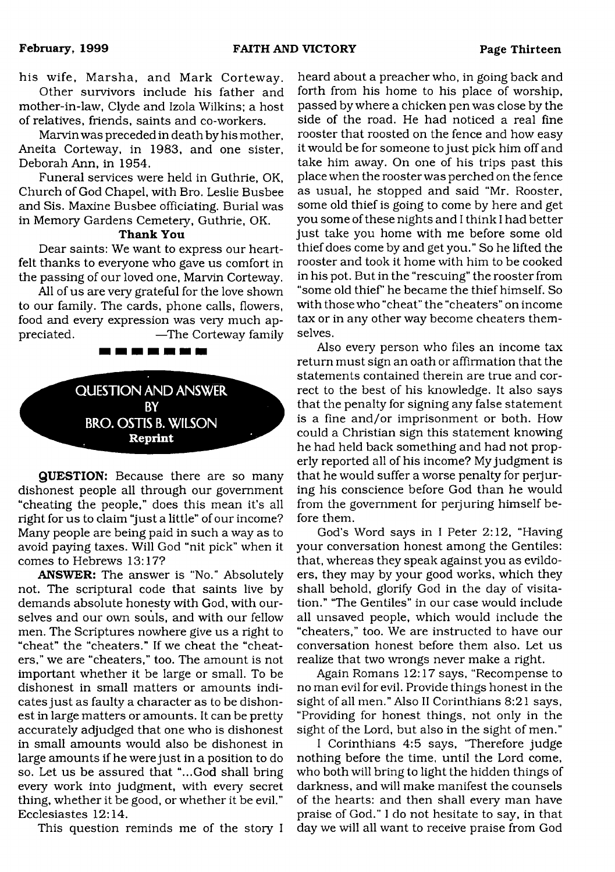#### **February, 1999 FAITH AND VICTORY Page Thirteen**

his wife, Marsha, and Mark Corteway. Other survivors include his father and mother-in-law, Clyde and Izola Wilkins; a host

of relatives, friends, saints and co-workers. Marvin was preceded in death by his mother, Aneita Corteway, in 1983, and one sister, Deborah Ann, in 1954.

Funeral services were held in Guthrie, OK, Church of God Chapel, with Bro. Leslie Busbee and Sis. Maxine Busbee officiating. Burial was in Memory Gardens Cemetery, Guthrie, OK.

### **Thank You**

Dear saints: We want to express our heartfelt thanks to everyone who gave us comfort in the passing of our loved one, Marvin Corteway.

All of us are very grateful for the love shown to our family. The cards, phone calls, flowers, food and every expression was very much appreciated. —The Corteway family

----------

QUESTION AND ANSWER BY BRO.OSTIS B. WILSON **Reprint**

**QUESTION:** Because there are so many dishonest people all through our government "cheating the people," does this mean it's all right for us to claim "just a little" of our income? Many people are being paid in such a way as to avoid paying taxes. Will God "nit pick" when it comes to Hebrews 13:17?

**ANSWER:** The answer is "No." Absolutely not. The scriptural code that saints live by demands absolute honesty with God, with ourselves and our own souls, and with our fellow men. The Scriptures nowhere give us a right to "cheat" the "cheaters." If we cheat the "cheaters," we are "cheaters," too. The amount is not important whether it be large or small. To be dishonest in small matters or amounts indicates just as faulty a character as to be dishonest in large matters or amounts. It can be pretty accurately adjudged that one who is dishonest in small amounts would also be dishonest in large amounts if he were just in a position to do so. Let us be assured that "...God shall bring every work into judgment, with every secret thing, whether it be good, or whether it be evil." Ecclesiastes 12:14.

This question reminds me of the story I

heard about a preacher who, in going back and forth from his home to his place of worship, passed by where a chicken pen was close by the side of the road. He had noticed a real fine rooster that roosted on the fence and how easy it would be for someone to just pick him off and take him away. On one of his trips past this place when the rooster was perched on the fence as usual, he stopped and said "Mr. Rooster, some old thief is going to come by here and get you some of these nights and I think I had better just take you home with me before some old thief does come by and get you." So he lifted the rooster and took it home with him to be cooked in his pot. But in the "rescuing" the rooster from "some old thief' he became the thief himself. So with those who "cheat" the "cheaters" on income tax or in any other way become cheaters themselves.

Also every person who files an income tax return must sign an oath or affirmation that the statements contained therein are true and correct to the best of his knowledge. It also says that the penalty for signing any false statement is a fine and/or imprisonment or both. How could a Christian sign this statement knowing he had held back something and had not properly reported all of his income? My judgment is that he would suffer a worse penalty for perjuring his conscience before God than he would from the government for perjuring himself before them.

God's Word says in I Peter 2:12, "Having your conversation honest among the Gentiles: that, whereas they speak against you as evildoers, they may by your good works, which they shall behold, glorify God in the day of visitation." 'The Gentiles" in our case would include all unsaved people, which would include the "cheaters," too. We are instructed to have our conversation honest before them also. Let us realize that two wrongs never make a right.

Again Romans 12:17 says, "Recompense to no man evil for evil. Provide things honest in the sight of all men." Also II Corinthians 8:21 says, "Providing for honest things, not only in the sight of the Lord, but also in the sight of men."

I Corinthians 4:5 says, "Therefore judge nothing before the time, until the Lord come, who both will bring to light the hidden things of darkness, and will make manifest the counsels of the hearts: and then shall every man have praise of God." I do not hesitate to say, in that day we will all want to receive praise from God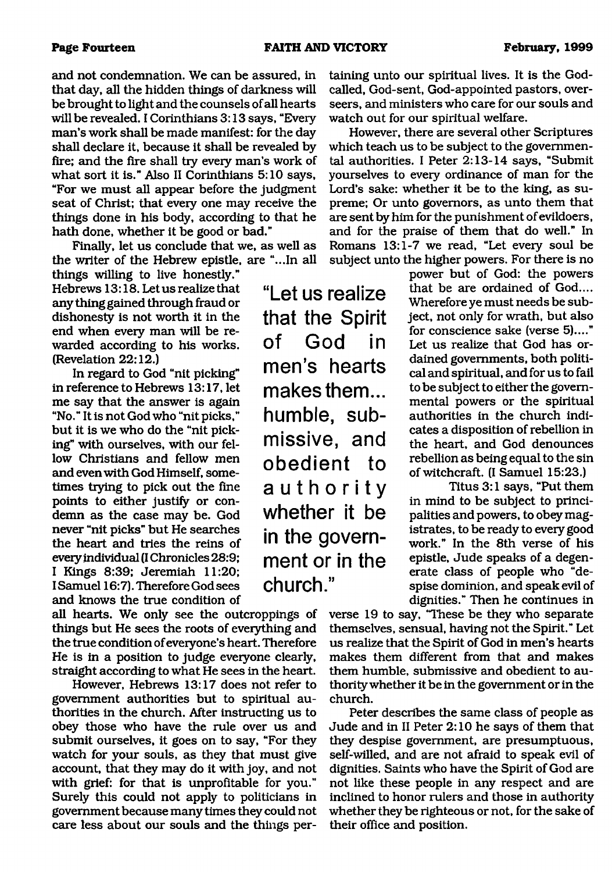**"Let us realize**

**that the Spirit of God in**

**men's hearts**

**makes them...**

**humble, sub-**

**missive, and**

**obedient to**

**authority**

**whether it be**

**in the government or in the**

**church."**

and not condemnation. We can be assured, in that day, all the hidden things of darkness will be brought to light and the counsels of all hearts will be revealed. I Corinthians 3:13 says, "Every man's work shall be made manifest: for the day shall declare it, because it shall be revealed by fire; and the fire shall try every man's work of what sort it is." Also II Corinthians 5:10 says, "For we must all appear before the judgment seat of Christ; that every one may receive the things done in his body, according to that he hath done, whether it be good or bad."

Finally, let us conclude that we, as well as the writer of the Hebrew epistle, are "...In all

things willing to live honestly." Hebrews 13:18. Let us realize that any thing gained through fraud or dishonesty is not worth it in the end when every man will be rewarded according to his works. (Revelation 22:12.)

In regard to God "nit picking" in reference to Hebrews 13:17, let me say that the answer is again "No." It is not God who "nit picks," but it is we who do the "nit picking" with ourselves, with our fellow Christians and fellow men and even with God Himself, sometimes trying to pick out the fine points to either justify or condemn as the case may be. God never "nit picks" but He searches the heart and tries the reins of every individual (I Chronicles 28:9; I Kings 8:39; Jeremiah 11:20; I Samuel 16:7). Therefore God sees and knows the true condition of

all hearts. We only see the outcroppings of things but He sees the roots of everything and the true condition of everyone's heart. Therefore He is in a position to judge everyone clearly, straight according to what He sees in the heart.

However, Hebrews 13:17 does not refer to government authorities but to spiritual authorities in the church. After instructing us to obey those who have the rule over us and submit ourselves, it goes on to say, "For they watch for your souls, as they that must give account, that they may do it with joy, and not with grief: for that is unprofitable for you." Surely this could not apply to politicians in government because many times they could not care less about our souls and the things pertaining unto our spiritual lives. It is the Godcalled, God-sent, God-appointed pastors, overseers, and ministers who care for our souls and watch out for our spiritual welfare.

However, there are several other Scriptures which teach us to be subject to the governmental authorities. I Peter 2:13-14 says, "Submit yourselves to every ordinance of man for the Lord's sake: whether it be to the king, as supreme; Or unto governors, as unto them that are sent by him for the punishment of evildoers, and for the praise of them that do well." In Romans 13:1-7 we read, "Let every soul be subject unto the higher powers. For there is no

> power but of God: the powers that be are ordained of God.... Wherefore ye must needs be subject, not only for wrath, but also for conscience sake (verse 5)...." Let us realize that God has ordained governments, both political and spiritual, and for us to fail to be subject to either the governmental powers or the spiritual authorities in the church indicates a disposition of rebellion in the heart, and God denounces rebellion as being equal to the sin of witchcraft. (I Samuel 15:23.)

> Titus 3:1 says, "Put them in mind to be subject to principalities and powers, to obey magistrates, to be ready to every good work." In the 8th verse of his epistle, Jude speaks of a degenerate class of people who "despise dominion, and speak evil of dignities." Then he continues in

verse 19 to say, "These be they who separate themselves, sensual, having not the Spirit." Let us realize that the Spirit of God in men's hearts makes them different from that and makes them humble, submissive and obedient to authority whether it be in the government or in the church.

Peter describes the same class of people as Jude and in II Peter 2:10 he says of them that they despise government, are presumptuous, self-willed, and are not afraid to speak evil of dignities. Saints who have the Spirit of God are not like these people in any respect and are inclined to honor rulers and those in authority whether they be righteous or not, for the sake of their office and position.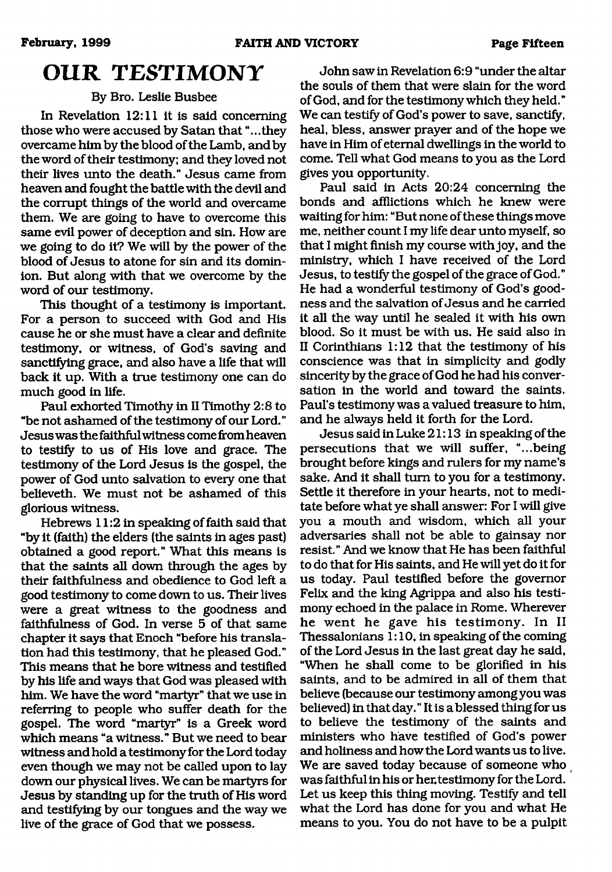# <span id="page-14-0"></span>**OUR TESTIMONY**

# By Bro. Leslie Busbee

In Revelation 12:11 it is said concerning those who were accused by Satan that "...they overcame him by the blood of the Lamb, and by the word of their testimony; and they loved not their lives unto the death." Jesus came from heaven and fought the battle with the devil and the corrupt things of the world and overcame them. We are going to have to overcome this same evil power of deception and sin. How are we going to do it? We will by the power of the blood of Jesus to atone for sin and its dominion. But along with that we overcome by the word of our testimony.

This thought of a testimony is important. For a person to succeed with God and His cause he or she must have a clear and definite testimony, or witness, of God's saving and sanctifying grace, and also have a life that will back it up. With a true testimony one can do much good in life.

Paul exhorted Timothy in II Timothy 2:8 to "be not ashamed of the testimony of our Lord." Jesus was the faithful witness come fromheaven to testify to us of His love and grace. The testimony of the Lord Jesus is the gospel, the power of God unto salvation to every one that believeth. We must not be ashamed of this glorious witness.

Hebrews 11:2 in speaking of faith said that "by it (faith) the elders (the saints in ages past) obtained a good report." What this means is that the saints all down through the ages by their faithfulness and obedience to God left a good testimony to come down to us. Their lives were a great witness to the goodness and faithfulness of God. In verse 5 of that same chapter it says that Enoch "before his translation had this testimony, that he pleased God." This means that he bore witness and testified by his life and ways that God was pleased with him. We have the word "martyr" that we use in referring to people who suffer death for the gospel. The word "martyr" is a Greek word which means "a witness." But we need to bear witness and hold a testimony for the Lord today even though we may not be called upon to lay down our physical lives. We can be martyrs for Jesus by standing up for the truth of His word and testifying by our tongues and the way we live of the grace of God that we possess.

John saw in Revelation 6:9 "under the altar the souls of them that were slain for the word of God, and for the testimony which they held." We can testify of God's power to save, sanctify, heal, bless, answer prayer and of the hope we have in Him of eternal dwellings in the world to come. Tell what God means to you as the Lord gives you opportunity.

Paul said in Acts 20:24 concerning the bonds and afflictions which he knew were waiting for him: "But none of these things move me, neither count I my life dear unto myself, so that I might finish my course with joy, and the ministry, which I have received of the Lord Jesus, to testify the gospel of the grace of God." He had a wonderful testimony of God's goodness and the salvation of Jesus and he carried it all the way until he sealed it with his own blood. So it must be with us. He said also in II Corinthians 1:12 that the testimony of his conscience was that in simplicity and godly sincerity by the grace of God he had his conversation in the world and toward the saints. Paul's testimony was a valued treasure to him, and he always held it forth for the Lord.

Jesus said in Luke 21:13 in speaking of the persecutions that we will suffer, "...being brought before kings and rulers for my name's sake. And it shall turn to you for a testimony. Settle it therefore in your hearts, not to meditate before what ye shall answer: For I will give you a mouth and wisdom, which all your adversaries shall not be able to gainsay nor resist." And we know that He has been faithful to do that for His saints, and He will yet do it for us today. Paul testified before the governor Felix and the king Agrippa and also his testimony echoed in the palace in Rome. Wherever he went he gave his testimony. In II Thessalonians 1:10, in speaking of the coming of the Lord Jesus in the last great day he said, "When he shall come to be glorified in his saints, and to be admired in all of them that believe (because our testimony among you was believed) in that day. " It is a blessed thing for us to believe the testimony of the saints and ministers who have testified of God's power and holiness and how the Lord wants us to live. We are saved today because of someone who was faithful in his or her.testimony for the Lord. Let us keep this thing moving. Testify and tell what the Lord has done for you and what He means to you. You do not have to be a pulpit